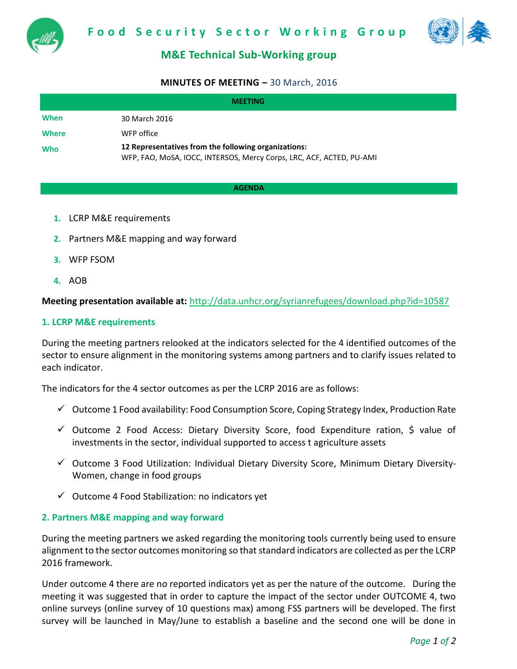



# **M&E Technical Sub-Working group**

#### **MINUTES OF MEETING –** 30 March, 2016

| <b>MEETING</b> |                                                                                                                              |
|----------------|------------------------------------------------------------------------------------------------------------------------------|
| When           | 30 March 2016                                                                                                                |
| <b>Where</b>   | WFP office                                                                                                                   |
| Who            | 12 Representatives from the following organizations:<br>WFP, FAO, MoSA, IOCC, INTERSOS, Mercy Corps, LRC, ACF, ACTED, PU-AMI |

#### **AGENDA**

- **1.** LCRP M&E requirements
- **2.** Partners M&E mapping and way forward
- **3.** WFP FSOM
- **4.** AOB

**Meeting presentation available at:** <http://data.unhcr.org/syrianrefugees/download.php?id=10587>

#### **1. LCRP M&E requirements**

During the meeting partners relooked at the indicators selected for the 4 identified outcomes of the sector to ensure alignment in the monitoring systems among partners and to clarify issues related to each indicator.

The indicators for the 4 sector outcomes as per the LCRP 2016 are as follows:

- $\checkmark$  Outcome 1 Food availability: Food Consumption Score, Coping Strategy Index, Production Rate
- $\checkmark$  Outcome 2 Food Access: Dietary Diversity Score, food Expenditure ration, \$ value of investments in the sector, individual supported to access t agriculture assets
- Outcome 3 Food Utilization: Individual Dietary Diversity Score, Minimum Dietary Diversity-Women, change in food groups
- $\checkmark$  Outcome 4 Food Stabilization: no indicators yet

#### **2. Partners M&E mapping and way forward**

During the meeting partners we asked regarding the monitoring tools currently being used to ensure alignment to the sector outcomes monitoring so that standard indicators are collected as per the LCRP 2016 framework.

Under outcome 4 there are no reported indicators yet as per the nature of the outcome. During the meeting it was suggested that in order to capture the impact of the sector under OUTCOME 4, two online surveys (online survey of 10 questions max) among FSS partners will be developed. The first survey will be launched in May/June to establish a baseline and the second one will be done in